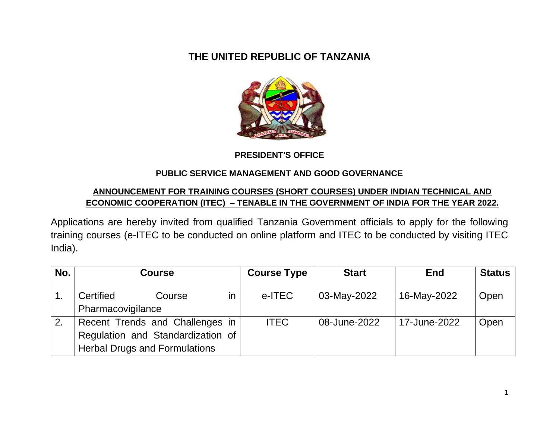## **THE UNITED REPUBLIC OF TANZANIA**



#### **PRESIDENT'S OFFICE**

#### **PUBLIC SERVICE MANAGEMENT AND GOOD GOVERNANCE**

#### **ANNOUNCEMENT FOR TRAINING COURSES (SHORT COURSES) UNDER INDIAN TECHNICAL AND ECONOMIC COOPERATION (ITEC) – TENABLE IN THE GOVERNMENT OF INDIA FOR THE YEAR 2022.**

Applications are hereby invited from qualified Tanzania Government officials to apply for the following training courses (e-ITEC to be conducted on online platform and ITEC to be conducted by visiting ITEC India).

| No. | Course                               |        | <b>Course Type</b> | <b>Start</b> | <b>End</b>   | <b>Status</b> |      |
|-----|--------------------------------------|--------|--------------------|--------------|--------------|---------------|------|
|     | Certified                            | Course | in.                | e-ITEC       | 03-May-2022  | 16-May-2022   | Open |
|     | Pharmacovigilance                    |        |                    |              |              |               |      |
| 2.  | Recent Trends and Challenges in      |        |                    | <b>ITEC</b>  | 08-June-2022 | 17-June-2022  | Open |
|     | Regulation and Standardization of    |        |                    |              |              |               |      |
|     | <b>Herbal Drugs and Formulations</b> |        |                    |              |              |               |      |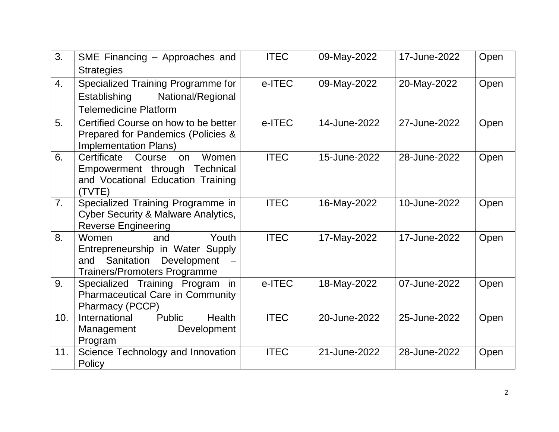| 3.  | SME Financing - Approaches and                                             | <b>ITEC</b> | 09-May-2022  | 17-June-2022 | Open |
|-----|----------------------------------------------------------------------------|-------------|--------------|--------------|------|
|     | <b>Strategies</b>                                                          |             |              |              |      |
| 4.  | Specialized Training Programme for                                         | e-ITEC      | 09-May-2022  | 20-May-2022  | Open |
|     | Establishing<br>National/Regional                                          |             |              |              |      |
|     | <b>Telemedicine Platform</b>                                               |             |              |              |      |
| 5.  | Certified Course on how to be better<br>Prepared for Pandemics (Policies & | e-ITEC      | 14-June-2022 | 27-June-2022 | Open |
|     | <b>Implementation Plans)</b>                                               |             |              |              |      |
| 6.  | Certificate<br>Women<br>Course<br>on                                       | <b>ITEC</b> | 15-June-2022 | 28-June-2022 | Open |
|     | Empowerment through Technical                                              |             |              |              |      |
|     | and Vocational Education Training<br>(TVTE)                                |             |              |              |      |
| 7.  | Specialized Training Programme in                                          | <b>ITEC</b> | 16-May-2022  | 10-June-2022 | Open |
|     | <b>Cyber Security &amp; Malware Analytics,</b>                             |             |              |              |      |
|     | <b>Reverse Engineering</b>                                                 |             |              |              |      |
| 8.  | Women<br>Youth<br>and                                                      | <b>ITEC</b> | 17-May-2022  | 17-June-2022 | Open |
|     | Entrepreneurship in Water Supply                                           |             |              |              |      |
|     | Sanitation<br>Development<br>and                                           |             |              |              |      |
|     | <b>Trainers/Promoters Programme</b>                                        |             |              |              |      |
| 9.  | Specialized Training Program<br>in.                                        | e-ITEC      | 18-May-2022  | 07-June-2022 | Open |
|     | <b>Pharmaceutical Care in Community</b><br>Pharmacy (PCCP)                 |             |              |              |      |
| 10. | <b>Public</b><br><b>Health</b><br>International                            | <b>ITEC</b> | 20-June-2022 | 25-June-2022 | Open |
|     | Management<br>Development                                                  |             |              |              |      |
|     | Program                                                                    |             |              |              |      |
| 11. | Science Technology and Innovation<br>Policy                                | <b>ITEC</b> | 21-June-2022 | 28-June-2022 | Open |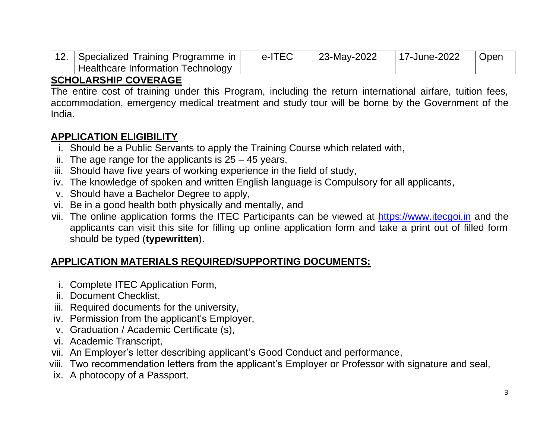| 12.   Specialized Training Programme in | e-ITEC | 23-May-2022 | 17-June-2022 | Open |
|-----------------------------------------|--------|-------------|--------------|------|
| Healthcare Information Technology       |        |             |              |      |

#### **SCHOLARSHIP COVERAGE**

The entire cost of training under this Program, including the return international airfare, tuition fees, accommodation, emergency medical treatment and study tour will be borne by the Government of the India.

# **APPLICATION ELIGIBILITY**

- i. Should be a Public Servants to apply the Training Course which related with,
- ii. The age range for the applicants is  $25 45$  years,
- iii. Should have five years of working experience in the field of study,
- iv. The knowledge of spoken and written English language is Compulsory for all applicants,
- v. Should have a Bachelor Degree to apply,
- vi. Be in a good health both physically and mentally, and
- vii. The online application forms the ITEC Participants can be viewed at [https://www.itecgoi.in](https://www.itecgoi.in/) and the applicants can visit this site for filling up online application form and take a print out of filled form should be typed (**typewritten**).

# **APPLICATION MATERIALS REQUIRED/SUPPORTING DOCUMENTS:**

- i. Complete ITEC Application Form,
- ii. Document Checklist,
- iii. Required documents for the university,
- iv. Permission from the applicant's Employer,
- v. Graduation / Academic Certificate (s),
- vi. Academic Transcript,
- vii. An Employer's letter describing applicant's Good Conduct and performance,
- viii. Two recommendation letters from the applicant's Employer or Professor with signature and seal,
- ix. A photocopy of a Passport,